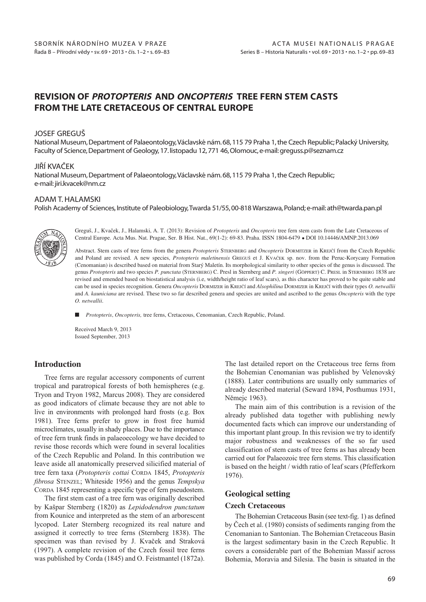## REVISION OF PROTOPTERIS AND ONCOPTERIS TREE FERN STEM CASTS FROM THE LATE CRETACEOUS OF CENTRAL EUROPE

#### JOSEF GREGUŠ

National Museum, Department of Palaeontology,Václavské nám. 68, 115 79 Praha 1, the Czech Republic; Palacký University, Faculty of Science, Department of Geology, 17. listopadu 12, 771 46, Olomouc, e-mail: greguss.p@seznam.cz

### JIŘÍ KVAČEK

National Museum, Department of Palaeontology,Václavské nám. 68, 115 79 Praha 1, the Czech Republic; e-mail: jiri.kvacek@nm.cz

## ADAM T. HALAMSKI

Polish Academy of Sciences, Institute of Paleobiology,Twarda 51/55, 00-818 Warszawa, Poland; e-mail: ath@twarda.pan.pl



Greguš, J., Kvaček, J., Halamski, A. T. (2013): Revision of *Protopteris* and *Oncopteris* tree fern stem casts from the Late Cretaceous of Central Europe. Acta Mus. Nat. Pragae, Ser. B Hist. Nat., 69(1-2): 69-83. Praha. ISSN 1804-6479 - DOI 10.14446/AMNP.2013.069

Abstract. Stem casts of tree ferns from the genera *Protopteris* STERNBERG and *Oncopteris* DORMITZER in KREJČÍ from the Czech Republic and Poland are revised. A new species, *Protopteris maletinensis* GREGUŠ et J. KVAČEK sp. nov. from the Peruc-Korycany Formation (Cenomanian) is described based on material from Starý Maletín. Its morphological similarity to other species of the genus is discussed. The genus *Protopteris* and two species *P. punctata* (STERNBERG) C. Presl in Sternberg and *P. singeri* (GÖPPERT) C. PRESL in STERNBERG 1838 are revised and emended based on biostatistical analysis (i.e, width/height ratio of leaf scars), as this character has proved to be quite stable and can be used in species recognition. Genera *Oncopteris* DORMIZER in KREJČÍ and *Alsophilina* DORMIZER in KREJČÍ with their types *O. netwallii* and *A. kauniciana* are revised. These two so far described genera and species are united and ascribed to the genus *Oncopteris* with the type *O. netwallii*.

- *Protopteris*, *Oncopteris,* tree ferns, Cretaceous, Cenomanian, Czech Republic, Poland.

Received March 9, 2013 Issued September, 2013

### **Introduction**

Tree ferns are regular accessory components of current tropical and paratropical forests of both hemispheres (e.g. Tryon and Tryon 1982, Marcus 2008). They are considered as good indicators of climate because they are not able to live in environments with prolonged hard frosts (e.g. Box 1981). Tree ferns prefer to grow in frost free humid microclimates, usually in shady places. Due to the importance of tree fern trunk finds in palaeoecology we have decided to revise those records which were found in several localities of the Czech Republic and Poland. In this contribution we leave aside all anatomically preserved silicified material of tree fern taxa (*Protopteris cottai* CORDA 1845, *Protopteris fibrosa* STENZEL; Whiteside 1956) and the genus *Tempskya* CORDA 1845 representing a specific type of fern pseudostem.

The first stem cast of a tree fern was originally described by Kašpar Sternberg (1820) as *Lepidodendron punctatum* from Kounice and interpreted as the stem of an arborescent lycopod. Later Sternberg recognized its real nature and assigned it correctly to tree ferns (Sternberg 1838). The specimen was than revised by J. Kvaček and Straková (1997). A complete revision of the Czech fossil tree ferns was published by Corda (1845) and O. Feistmantel (1872a). The last detailed report on the Cretaceous tree ferns from the Bohemian Cenomanian was published by Velenovský (1888). Later contributions are usually only summaries of already described material (Seward 1894, Posthumus 1931, Němejc 1963).

The main aim of this contribution is a revision of the already published data together with publishing newly documented facts which can improve our understanding of this important plant group. In this revision we try to identify major robustness and weaknesses of the so far used classification of stem casts of tree ferns as has already been carried out for Palaeozoic tree fern stems. This classification is based on the height / width ratio of leaf scars (Pfefferkorn 1976).

### **Geological setting**

#### **Czech Cretaceous**

The Bohemian Cretaceous Basin (see text-fig. 1) as defined by Čech et al. (1980) consists of sediments ranging from the Cenomanian to Santonian. The Bohemian Cretaceous Basin is the largest sedimentary basin in the Czech Republic. It covers a considerable part of the Bohemian Massif across Bohemia, Moravia and Silesia. The basin is situated in the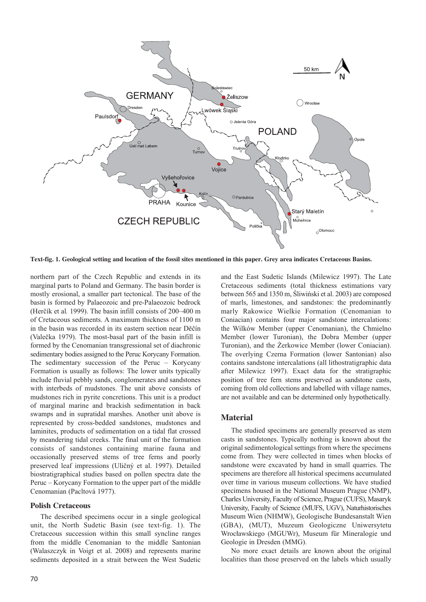

**Text-fig. 1. Geological setting and location of the fossil sites mentioned in this paper. Grey area indicates Cretaceous Basins.** 

northern part of the Czech Republic and extends in its marginal parts to Poland and Germany. The basin border is mostly erosional, a smaller part tectonical. The base of the basin is formed by Palaeozoic and pre-Palaeozoic bedrock (Herčík et al*.* 1999). The basin infill consists of 200–400 m of Cretaceous sediments. A maximum thickness of 1100 m in the basin was recorded in its eastern section near Děčín (Valečka 1979). The most-basal part of the basin infill is formed by the Cenomanian transgressional set of diachronic sedimentary bodies assigned to the Peruc Korycany Formation. The sedimentary succession of the Peruc – Korycany Formation is usually as follows: The lower units typically include fluvial pebbly sands, conglomerates and sandstones with interbeds of mudstones. The unit above consists of mudstones rich in pyrite concretions. This unit is a product of marginal marine and brackish sedimentation in back swamps and in supratidal marshes. Another unit above is represented by cross-bedded sandstones, mudstones and laminites, products of sedimentation on a tidal flat crossed by meandering tidal creeks. The final unit of the formation consists of sandstones containing marine fauna and occasionally preserved stems of tree ferns and poorly preserved leaf impressions (Uličný et al. 1997). Detailed biostratigraphical studies based on pollen spectra date the Peruc – Korycany Formation to the upper part of the middle Cenomanian (Pacltová 1977).

### **Polish Cretaceous**

The described specimens occur in a single geological unit, the North Sudetic Basin (see text-fig. 1). The Cretaceous succession within this small syncline ranges from the middle Cenomanian to the middle Santonian (Walaszczyk in Voigt et al. 2008) and represents marine sediments deposited in a strait between the West Sudetic and the East Sudetic Islands (Milewicz 1997). The Late Cretaceous sediments (total thickness estimations vary between 565 and 1350 m, Śliwiński et al. 2003) are composed of marls, limestones, and sandstones: the predominantly marly Rakowice Wielkie Formation (Cenomanian to Coniacian) contains four major sandstone intercalations: the Wilków Member (upper Cenomanian), the Chmielno Member (lower Turonian), the Dobra Member (upper Turonian), and the Żerkowice Member (lower Coniacian). The overlying Czerna Formation (lower Santonian) also contains sandstone intercalations (all lithostratigraphic data after Milewicz 1997). Exact data for the stratigraphic position of tree fern stems preserved as sandstone casts, coming from old collections and labelled with village names, are not available and can be determined only hypothetically.

## **Material**

The studied specimens are generally preserved as stem casts in sandstones. Typically nothing is known about the original sedimentological settings from where the specimens come from. They were collected in times when blocks of sandstone were excavated by hand in small quarries. The specimens are therefore all historical specimens accumulated over time in various museum collections. We have studied specimens housed in the National Museum Prague (NMP), Charles University, Faculty of Science, Prague (CUFS), Masaryk University, Faculty of Science (MUFS, UGV), Naturhistorisches Museum Wien (NHMW), Geologische Bundesanstalt Wien (GBA), (MUT), Muzeum Geologiczne Uniwersytetu Wrocławskiego (MGUWr), Museum für Mineralogie und Geologie in Dresden (MMG).

No more exact details are known about the original localities than those preserved on the labels which usually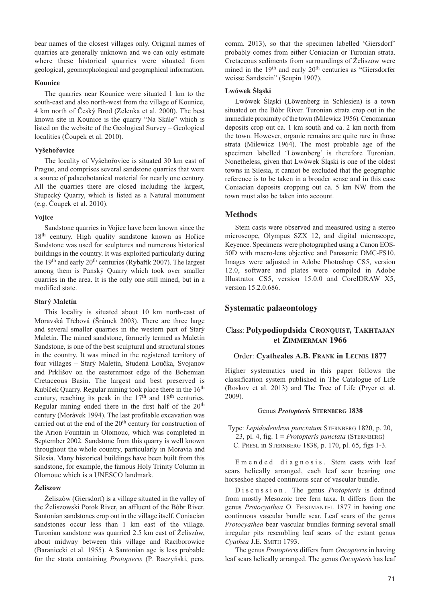bear names of the closest villages only. Original names of quarries are generally unknown and we can only estimate where these historical quarries were situated from geological, geomorphological and geographical information.

#### **Kounice**

The quarries near Kounice were situated 1 km to the south-east and also north-west from the village of Kounice, 4 km north of Český Brod (Zelenka et al. 2000). The best known site in Kounice is the quarry "Na Skále" which is listed on the website of the Geological Survey – Geological localities (Čoupek et al. 2010).

#### **Vyšehořovice**

The locality of Vyšehořovice is situated 30 km east of Prague, and comprises several sandstone quarries that were a source of palaeobotanical material for nearly one century. All the quarries there are closed including the largest, Stupecký Quarry, which is listed as a Natural monument (e.g. Čoupek et al. 2010).

#### **Vojice**

Sandstone quarries in Vojice have been known since the 18th century. High quality sandstone known as Hořice Sandstone was used for sculptures and numerous historical buildings in the country. It was exploited particularly during the 19th and early 20th centuries (Rybařík 2007). The largest among them is Panský Quarry which took over smaller quarries in the area. It is the only one still mined, but in a modified state.

#### **Starý Maletín**

This locality is situated about 10 km north-east of Moravská Třebová (Šrámek 2003). There are three large and several smaller quarries in the western part of Starý Maletín. The mined sandstone, formerly termed as Maletín Sandstone, is one of the best sculptural and structural stones in the country. It was mined in the registered territory of four villages – Starý Maletín, Studená Loučka, Svojanov and Prklišov on the easternmost edge of the Bohemian Cretaceous Basin. The largest and best preserved is Kubíček Quarry. Regular mining took place there in the 16<sup>th</sup> century, reaching its peak in the  $17<sup>th</sup>$  and  $18<sup>th</sup>$  centuries. Regular mining ended there in the first half of the 20<sup>th</sup> century (Morávek 1994). The last profitable excavation was carried out at the end of the 20<sup>th</sup> century for construction of the Arion Fountain in Olomouc, which was completed in September 2002. Sandstone from this quarry is well known throughout the whole country, particularly in Moravia and Silesia. Many historical buildings have been built from this sandstone, for example, the famous Holy Trinity Column in Olomouc which is a UNESCO landmark.

### **Żeliszow**

Żeliszów (Giersdorf) is a village situated in the valley of the Żeliszowski Potok River, an affluent of the Bóbr River. Santonian sandstones crop out in the village itself. Coniacian sandstones occur less than 1 km east of the village. Turonian sandstone was quarried 2.5 km east of Żeliszów, about midway between this village and Raciborowice (Baraniecki et al. 1955). A Santonian age is less probable for the strata containing *Protopteris* (P. Raczyński, pers.

comm. 2013), so that the specimen labelled 'Giersdorf' probably comes from either Coniacian or Turonian strata. Cretaceous sediments from surroundings of Żeliszow were mined in the 19<sup>th</sup> and early 20<sup>th</sup> centuries as "Giersdorfer weisse Sandstein" (Scupin 1907).

#### **Lwówek Śląski**

Lwówek Śląski (Löwenberg in Schlesien) is a town situated on the Bóbr River. Turonian strata crop out in the immediate proximity of the town (Milewicz 1956). Cenomanian deposits crop out ca. 1 km south and ca. 2 km north from the town. However, organic remains are quite rare in those strata (Milewicz 1964). The most probable age of the specimen labelled 'Löwenberg' is therefore Turonian. Nonetheless, given that Lwówek Śląski is one of the oldest towns in Silesia, it cannot be excluded that the geographic reference is to be taken in a broader sense and in this case Coniacian deposits cropping out ca. 5 km NW from the town must also be taken into account.

#### **Methods**

Stem casts were observed and measured using a stereo microscope, Olympus SZX 12, and digital microscope, Keyence. Specimens were photographed using a Canon EOS-50D with macro-lens objective and Panasonic DMC-FS10. Images were adjusted in Adobe Photoshop CS5, version 12.0, software and plates were compiled in Adobe Illustrator CS5, version 15.0.0 and CorelDRAW X5, version 15.2.0.686.

### **Systematic palaeontology**

## Class: **Polypodiopdsida CRONQUIST, TAKHTAJAN et ZIMMERMAN 1966**

#### Order: **Cyatheales A.B. FRANK in LEUNIS 1877**

Higher systematics used in this paper follows the classification system published in The Catalogue of Life (Roskov et al. 2013) and The Tree of Life (Pryer et al. 2009).

#### Genus *Protopteris* **STERNBERG 1838**

Type: *Lepidodendron punctatum* STERNBERG 1820, p. 20, 23, pl. 4, fig. 1 ≡ *Protopteris punctata* (STERNBERG) C. PRESL in STERNBERG 1838, p. 170, pl. 65, figs 1-3.

Emended diagnosis. Stem casts with leaf scars helically arranged, each leaf scar bearing one horseshoe shaped continuous scar of vascular bundle.

Discussion. The genus *Protopteris* is defined from mostly Mesozoic tree fern taxa. It differs from the genus *Protocyathea* O. FEISTMANTEL 1877 in having one continuous vascular bundle scar. Leaf scars of the genus *Protocyathea* bear vascular bundles forming several small irregular pits resembling leaf scars of the extant genus *Cyathea* J.E. SMITH 1793.

The genus *Protopteris* differs from *Oncopteris* in having leaf scars helically arranged. The genus *Oncopteris* has leaf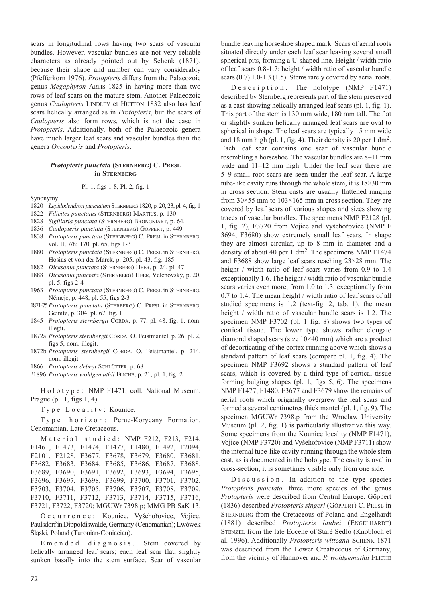scars in longitudinal rows having two scars of vascular bundles. However, vascular bundles are not very reliable characters as already pointed out by Schenk (1871), because their shape and number can vary considerably (Pfefferkorn 1976). *Protopteris* differs from the Palaeozoic genus *Megaphyton* ARTIS 1825 in having more than two rows of leaf scars on the mature stem. Another Palaeozoic genus *Caulopteris* LINDLEY et HUTTON 1832 also has leaf scars helically arranged as in *Protopteris*, but the scars of *Caulopteris* also form rows, which is not the case in *Protopteris*. Additionally, both of the Palaeozoic genera have much larger leaf scars and vascular bundles than the genera *Oncopteris* and *Protopteris*.

#### *Protopteris punctata* **(STERNBERG) C. PRESL in STERNBERG**

#### Pl. 1, figs 1-8, Pl. 2, fig. 1

Synonymy:

- 1820 *Lepidodendron punctatum* STERNBERG 1820, p. 20, 23, pl. 4, fig. 1
- 1822 *Filicites punctatus* (STERNBERG) MARTIUS, p. 130
- 1828 *Sigillaria punctata* (STERNBERG) BRONGNIART, p. 64.
- 1836 *Caulopteris punctata* (STERNBERG) GÖPPERT, p. 449
- 1838 *Protopteris punctata* (STERNBERG) C. PRESL in STERNBERG, vol. II, 7/8: 170, pl. 65, figs 1-3
- 1880 *Protopteris punctata* (STERNBERG) C. PRESL in STERNBERG, Hosius et von der Marck, p. 205, pl. 43, fig. 185
- 1882 *Dicksonia punctata* (STERNBERG) HEER, p. 24, pl. 47
- 1888 *Dicksonia punctata* (STERNBERG) HEER, Velenovský, p. 20, pl. 5, figs 2-4
- 1963 *Protopteris punctata* (STERNBERG) C. PRESL in STERNBERG, Němejc, p. 448, pl. 55, figs 2-3
- 1871-75*Protopteris punctata* (STERBERG) C. PRESL in STERNBERG, Geinitz, p. 304, pl. 67, fig. 1
- 1845 *Protopteris sternbergii* CORDA, p. 77, pl. 48, fig. 1, nom. illegit.
- 1872a *Protopteris sternbergii* CORDA, O. Feistmantel, p. 26, pl. 2, figs 5, nom. illegit.
- 1872b *Protopteris sternbergii* CORDA, O. Feistmantel, p. 214, nom. illegit.
- 1866 *Protopteris debeyi* SCHLÜTTER, p. 68
- ?1896 *Protopteris wohlgemuthii* FLICHE, p. 21, pl. 1, fig. 2

H o l o t y p e : NMP F1471, coll. National Museum, Prague (pl. 1, figs 1, 4).

Type Locality: Kounice.

Type horizon: Peruc-Korycany Formation, Cenomanian, Late Cretaceous.

Material studied: NMP F212, F213, F214, F1461, F1473, F1474, F1477, F1480, F1492, F2094, F2101, F2128, F3677, F3678, F3679, F3680, F3681, F3682, F3683, F3684, F3685, F3686, F3687, F3688, F3689, F3690, F3691, F3692, F3693, F3694, F3695, F3696, F3697, F3698, F3699, F3700, F3701, F3702, F3703, F3704, F3705, F3706, F3707, F3708, F3709, F3710, F3711, F3712, F3713, F3714, F3715, F3716, F3721, F3722, F3720; MGUWr 7398.p; MMG PB SaK 13.

Occurrence: Kounice, Vyšehořovice, Vojice, Paulsdorf in Dippoldiswalde, Germany (Cenomanian); Lwówek Śląski, Poland (Turonian-Coniacian).

Emended diagnosis. Stem covered by helically arranged leaf scars; each leaf scar flat, slightly sunken basally into the stem surface. Scar of vascular bundle leaving horseshoe shaped mark. Scars of aerial roots situated directly under each leaf scar leaving several small spherical pits, forming a U-shaped line. Height / width ratio of leaf scars 0.8-1.7; height / width ratio of vascular bundle scars (0.7) 1.0-1.3 (1.5). Stems rarely covered by aerial roots.

Description. The holotype (NMP F1471) described by Sternberg represents part of the stem preserved as a cast showing helically arranged leaf scars (pl. 1, fig. 1). This part of the stem is 130 mm wide, 180 mm tall. The flat or slightly sunken helically arranged leaf scars are oval to spherical in shape. The leaf scars are typically 15 mm wide and 18 mm high (pl. 1, fig. 4). Their density is 20 per 1 dm<sup>2</sup>. Each leaf scar contains one scar of vascular bundle resembling a horseshoe. The vascular bundles are 8–11 mm wide and 11–12 mm high. Under the leaf scar there are 5–9 small root scars are seen under the leaf scar. A large tube-like cavity runs through the whole stem, it is 18×30 mm in cross section. Stem casts are usually flattened ranging from  $30 \times 55$  mm to  $103 \times 165$  mm in cross section. They are covered by leaf scars of various shapes and sizes showing traces of vascular bundles. The specimens NMP F2128 (pl. 1, fig. 2), F3720 from Vojice and Vyšehořovice (NMP F 3694, F3680) show extremely small leaf scars. In shape they are almost circular, up to 8 mm in diameter and a density of about 40 per 1 dm<sup>2</sup>. The specimens NMP F1474 and F3688 show large leaf scars reaching 23×28 mm. The height / width ratio of leaf scars varies from 0.9 to 1.4 exceptionally 1.6. The height / width ratio of vascular bundle scars varies even more, from 1.0 to 1.3, exceptionally from 0.7 to 1.4. The mean height / width ratio of leaf scars of all studied specimens is 1.2 (text-fig. 2, tab. 1), the mean height / width ratio of vascular bundle scars is 1.2. The specimen NMP F3702 (pl. 1 fig. 8) shows two types of cortical tissue. The lower type shows rather elongate diamond shaped scars (size 10×40 mm) which are a product of decorticating of the cortex running above which shows a standard pattern of leaf scars (compare pl. 1, fig. 4). The specimen NMP F3692 shows a standard pattern of leaf scars, which is covered by a third type of cortical tissue forming bulging shapes (pl. 1, figs 5, 6). The specimens NMP F1477, F1480, F3677 and F3679 show the remains of aerial roots which originally overgrew the leaf scars and formed a several centimetres thick mantel (pl. 1, fig. 9). The specimen MGUWr 7398.p from the Wroclaw University Museum (pl. 2, fig. 1) is particularly illustrative this way. Some specimens from the Kounice locality (NMP F1471), Vojice (NMP F3720) and Vyšehořovice (NMP F3711) show the internal tube-like cavity running through the whole stem cast, as is documented in the holotype. The cavity is oval in cross-section; it is sometimes visible only from one side.

 $D$  i s c u s s i o n. In addition to the type species *Protopteris punctata,* three more species of the genus *Protopteris* were described from Central Europe. Göppert (1836) described *Protopteris singeri* (GÖPPERT) C. PRESL in STERNBERG from the Cretaceous of Poland and Engelhardt (1881) described *Protopteris laubei* (ENGELHARDT) STENZEL from the late Eocene of Staré Sedlo (Knobloch et al. 1996). Additionally *Protopteris witteana* SCHENK 1871 was described from the Lower Creataceous of Germany, from the vicinity of Hannover and *P. wohlgemuthii* FLICHE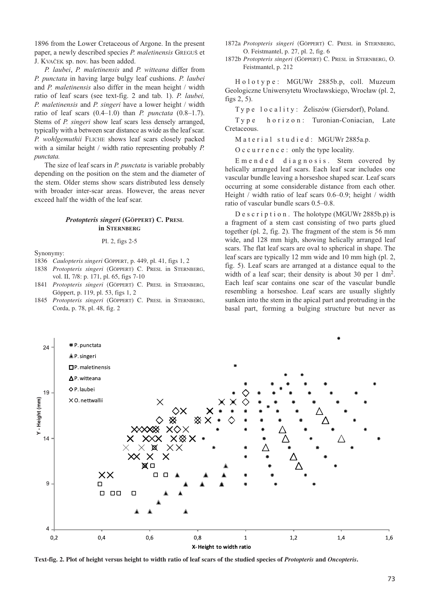1896 from the Lower Cretaceous of Argone. In the present paper, a newly described species *P. maletinensis* GREGUŠ et J. KVAČEK sp. nov. has been added.

*P. laubei*, *P. maletinensis* and *P. witteana* differ from *P. punctata* in having large bulgy leaf cushions. *P. laubei* and *P. maletinensis* also differ in the mean height / width ratio of leaf scars (see text-fig. 2 and tab. 1). *P. laubei, P. maletinensis* and *P. singeri* have a lower height / width ratio of leaf scars (0.4–1.0) than *P. punctata* (0.8–1.7). Stems of *P. singeri* show leaf scars less densely arranged, typically with a between scar distance as wide as the leaf scar. *P. wohlgemuthii* FLICHE shows leaf scars closely packed with a similar height / width ratio representing probably *P. punctata.*

The size of leaf scars in *P. punctata* is variable probably depending on the position on the stem and the diameter of the stem. Older stems show scars distributed less densely with broader inter-scar areas. However, the areas never exceed half the width of the leaf scar.

#### *Protopteris singeri* **(GÖPPERT) C. PRESL in STERNBERG**

#### Pl. 2, figs 2-5

Synonymy:

- 1836 *Caulopteris singeri* GÖPPERT, p. 449, pl. 41, figs 1, 2
- 1838 *Protopteris singeri* (GÖPPERT) C. PRESL in STERNBERG, vol. II, 7/8: p. 171, pl. 65, figs 7-10
- 1841 *Protopteris singeri* (GÖPPERT) C. PRESL in STERNBERG, Göppert, p. 119, pl. 53, figs 1, 2
- 1845 *Protopteris singeri* (GÖPPERT) C. PRESL in STERNBERG, Corda, p. 78, pl. 48, fig. 2

1872a *Protopteris singeri* (GÖPPERT) C. PRESL in STERNBERG, O. Feistmantel, p. 27, pl. 2, fig. 6

1872b *Protopteris singeri* (GÖPPERT) C. PRESL in STERNBERG, O. Feistmantel, p. 212

Holotype: MGUWr 2885b.p, coll. Muzeum Geologiczne Uniwersytetu Wrocławskiego, Wrocław (pl. 2, figs 2, 5).

Type locality: Żeliszów (Giersdorf), Poland.

Type horizon: Turonian-Coniacian, Late Cretaceous.

Material studied: MGUWr 2885a.p.

Occurrence: only the type locality.

Emended diagnosis. Stem covered by helically arranged leaf scars. Each leaf scar includes one vascular bundle leaving a horseshoe shaped scar. Leaf scars occurring at some considerable distance from each other. Height / width ratio of leaf scars 0.6–0.9; height / width ratio of vascular bundle scars 0.5–0.8.

Description. The holotype (MGUWr 2885b.p) is a fragment of a stem cast consisting of two parts glued together (pl. 2, fig. 2). The fragment of the stem is 56 mm wide, and 128 mm high, showing helically arranged leaf scars. The flat leaf scars are oval to spherical in shape. The leaf scars are typically 12 mm wide and 10 mm high (pl. 2, fig. 5). Leaf scars are arranged at a distance equal to the width of a leaf scar; their density is about 30 per 1 dm<sup>2</sup>. Each leaf scar contains one scar of the vascular bundle resembling a horseshoe. Leaf scars are usually slightly sunken into the stem in the apical part and protruding in the basal part, forming a bulging structure but never as



**Text-fig. 2. Plot of height versus height to width ratio of leaf scars of the studied species of** *Protopteris* **and** *Oncopteris***.**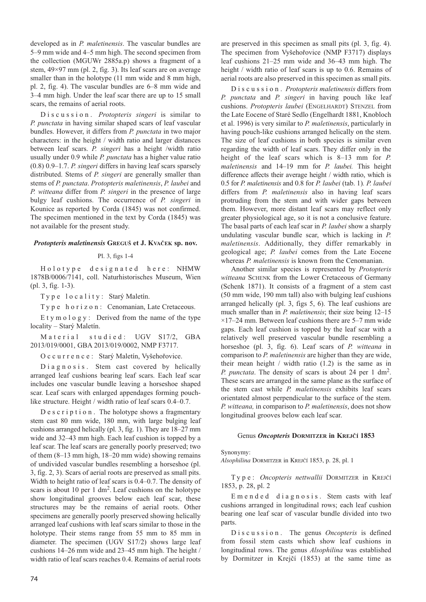developed as in *P. maletinensis*. The vascular bundles are 5–9 mm wide and 4–5 mm high. The second specimen from the collection (MGUWr 2885a.p) shows a fragment of a stem, 49×97 mm (pl. 2, fig. 3). Its leaf scars are on average smaller than in the holotype (11 mm wide and 8 mm high, pl. 2, fig. 4). The vascular bundles are 6–8 mm wide and 3–4 mm high. Under the leaf scar there are up to 15 small scars, the remains of aerial roots.

Discussion. *Protopteris singeri* is similar to *P. punctata* in having similar shaped scars of leaf vascular bundles. However, it differs from *P. punctata* in two major characters: in the height / width ratio and larger distances between leaf scars. *P. singeri* has a height /width ratio usually under 0.9 while *P. punctata* has a higher value ratio (0.8) 0.9–1.7. *P. singeri* differs in having leaf scars sparsely distributed. Stems of *P. singeri* are generally smaller than stems of *P. punctata*. *Protopteris maletinensis*, *P. laubei* and *P. witteana* differ from *P. singeri* in the presence of large bulgy leaf cushions. The occurrence of *P. singeri* in Kounice as reported by Corda (1845) was not confirmed. The specimen mentioned in the text by Corda (1845) was not available for the present study.

#### *Protopteris maletinensis* **GREGUŠ et J. KVAČEK sp. nov.**

#### Pl. 3, figs 1-4

Holotype designated here: NHMW 1878B/0006/7141, coll. Naturhistorisches Museum, Wien (pl. 3, fig. 1-3).

Type locality: Starý Maletín.

Type horizon: Cenomanian, Late Cretaceous.

Etymology: Derived from the name of the type locality – Starý Maletín.

Material studied: UGV S17/2, GBA 2013/019/0001, GBA 2013/019/0002, NMP F3717.

Occurrence: Starý Maletín, Vyšehořovice.

Diagnosis. Stem cast covered by helically arranged leaf cushions bearing leaf scars. Each leaf scar includes one vascular bundle leaving a horseshoe shaped scar. Leaf scars with enlarged appendages forming pouchlike structure. Height / width ratio of leaf scars  $0.4-0.7$ .

Description. The holotype shows a fragmentary stem cast 80 mm wide, 180 mm, with large bulging leaf cushions arranged helically (pl. 3, fig. 1). They are 18–27 mm wide and 32–43 mm high. Each leaf cushion is topped by a leaf scar. The leaf scars are generally poorly preserved; two of them (8–13 mm high, 18–20 mm wide) showing remains of undivided vascular bundles resembling a horseshoe (pl. 3, fig. 2, 3). Scars of aerial roots are preserved as small pits. Width to height ratio of leaf scars is 0.4–0.7. The density of scars is about 10 per 1 dm<sup>2</sup>. Leaf cushions on the holotype show longitudinal grooves below each leaf scar, these structures may be the remains of aerial roots. Other specimens are generally poorly preserved showing helically arranged leaf cushions with leaf scars similar to those in the holotype. Their stems range from 55 mm to 85 mm in diameter. The specimen (UGV S17/2) shows large leaf cushions 14–26 mm wide and 23–45 mm high. The height / width ratio of leaf scars reaches 0.4. Remains of aerial roots

are preserved in this specimen as small pits (pl. 3, fig. 4). The specimen from Vyšehořovice (NMP F3717) displays leaf cushions 21–25 mm wide and 36–43 mm high. The height / width ratio of leaf scars is up to 0.6. Remains of aerial roots are also preserved in this specimen as small pits.

Discussion. *Protopteris maletinensis* differs from *P. punctata* and *P. singeri* in having pouch like leaf cushions. *Protopteris laubei* (ENGELHARDT) STENZEL from the Late Eocene of Staré Sedlo (Engelhardt 1881, Knobloch et al. 1996) is very similar to *P. maletinensis*, particularly in having pouch-like cushions arranged helically on the stem. The size of leaf cushions in both species is similar even regarding the width of leaf scars. They differ only in the height of the leaf scars which is 8–13 mm for *P. maletinensis* and 14–19 mm for *P. laubei.* This height difference affects their average height / width ratio, which is 0.5 for *P. maletinensis* and 0.8 for *P. laubei* (tab. 1)*. P. laubei* differs from *P. maletinensis* also in having leaf scars protruding from the stem and with wider gaps between them. However, more distant leaf scars may reflect only greater physiological age, so it is not a conclusive feature. The basal parts of each leaf scar in *P. laubei* show a sharply undulating vascular bundle scar, which is lacking in *P. maletinensis*. Additionally, they differ remarkably in geological age; *P. laubei* comes from the Late Eocene whereas *P. maletinensis* is known from the Cenomanian.

Another similar species is represented by *Protopteris witteana* SCHENK from the Lower Cretaceous of Germany (Schenk 1871). It consists of a fragment of a stem cast (50 mm wide, 190 mm tall) also with bulging leaf cushions arranged helically (pl. 3, figs 5, 6). The leaf cushions are much smaller than in *P. maletinensis*; their size being 12–15  $\times$ 17–24 mm. Between leaf cushions there are 5–7 mm wide gaps. Each leaf cushion is topped by the leaf scar with a relatively well preserved vascular bundle resembling a horseshoe (pl. 3, fig. 6). Leaf scars of *P. witteana* in comparison to *P. maletinensis* are higher than they are wide, their mean height / width ratio (1.2) is the same as in *P. punctata*. The density of scars is about 24 per 1 dm2. These scars are arranged in the same plane as the surface of the stem cast while *P. maletinensis* exhibits leaf scars orientated almost perpendicular to the surface of the stem. *P. witteana,* in comparison to *P. maletinensis*, does not show longitudinal grooves below each leaf scar.

#### Genus *Oncopteris* **DORMITZER in KREJČÍ 1853**

Synonymy:

*Alsophilina* DORMITZER in KREJČÍ 1853, p. 28, pl. 1

Type: *Oncopteris nettwallii* DORMITZER in KREJČÍ 1853, p. 28, pl. 2

Emended diagnosis. Stem casts with leaf cushions arranged in longitudinal rows; each leaf cushion bearing one leaf scar of vascular bundle divided into two parts.

Discussion. The genus *Oncopteris* is defined from fossil stem casts which show leaf cushions in longitudinal rows. The genus *Alsophilina* was established by Dormitzer in Krejčí (1853) at the same time as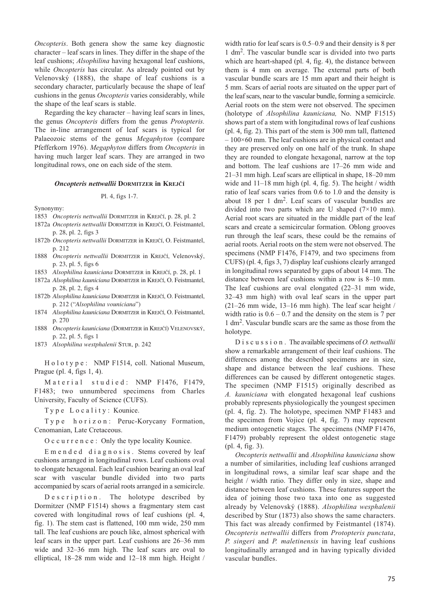*Oncopteris*. Both genera show the same key diagnostic character – leaf scars in lines. They differ in the shape of the leaf cushions; *Alsophilina* having hexagonal leaf cushions, while *Oncopteris* has circular. As already pointed out by Velenovský (1888), the shape of leaf cushions is a secondary character, particularly because the shape of leaf cushions in the genus *Oncopteris* varies considerably, while the shape of the leaf scars is stable.

Regarding the key character – having leaf scars in lines, the genus *Oncopteris* differs from the genus *Protopteris.* The in-line arrangement of leaf scars is typical for Palaeozoic stems of the genus *Megaphyton* (compare Pfefferkorn 1976). *Megaphyton* differs from *Oncopteris* in having much larger leaf scars. They are arranged in two longitudinal rows, one on each side of the stem.

#### *Oncopteris nettwallii* **DORMITZER in KREJČÍ**

#### Pl. 4, figs 1-7.

Synonymy:

- 1853 *Oncopteris nettwallii* DORMITZER in KREJČÍ, p. 28, pl. 2
- 1872a *Oncopteris nettwallii* DORMITZER in KREJČÍ, O. Feistmantel, p. 28, pl. 2, figs 3
- 1872b *Oncopteris nettwallii* DORMITZER in KREJČÍ, O. Feistmantel, p. 212
- 1888 *Oncopteris nettwallii* DORMITZER in KREJČÍ, Velenovský, p. 23, pl. 5, figs 6
- 1853 *Alsophilina kauniciana* DORMITZER in KREJČÍ, p. 28, pl. 1
- 1872a *Alsophilina kauniciana* DORMITZER in KREJČÍ, O. Feistmantel, p. 28, pl. 2, figs 4
- 1872b *Alsophilina kauniciana* DORMITZER in KREJČÍ, O. Feistmantel, p. 212 ("*Alsophilina vouniciana*")
- 1874 *Alsophilina kauniciana* DORMITZER in KREJČÍ, O. Feistmantel, p. 270
- 1888 *Oncopteris kauniciana* (DORMITZER in KREJČÍ) VELENOVSKÝ, p. 22, pl. 5, figs 1
- 1873 *Alsophilina westphalenii* STUR, p. 242

H o l o t y p e : NMP F1514, coll. National Museum, Prague (pl. 4, figs 1, 4).

Material studied: NMP F1476, F1479, F1483; two unnumbered specimens from Charles University, Faculty of Science (CUFS).

Type Locality: Kounice.

Type horizon: Peruc-Korycany Formation, Cenomanian, Late Cretaceous.

Occurrence: Only the type locality Kounice.

Emended diagnosis. Stems covered by leaf cushions arranged in longitudinal rows. Leaf cushions oval to elongate hexagonal. Each leaf cushion bearing an oval leaf scar with vascular bundle divided into two parts accompanied by scars of aerial roots arranged in a semicircle.

Description. The holotype described by Dormitzer (NMP F1514) shows a fragmentary stem cast covered with longitudinal rows of leaf cushions (pl. 4, fig. 1). The stem cast is flattened, 100 mm wide, 250 mm tall. The leaf cushions are pouch like, almost spherical with leaf scars in the upper part. Leaf cushions are 26–36 mm wide and 32–36 mm high. The leaf scars are oval to elliptical, 18–28 mm wide and 12–18 mm high. Height / width ratio for leaf scars is 0.5–0.9 and their density is 8 per 1 dm2. The vascular bundle scar is divided into two parts which are heart-shaped (pl. 4, fig. 4), the distance between them is 4 mm on average. The external parts of both vascular bundle scars are 15 mm apart and their height is 5 mm. Scars of aerial roots are situated on the upper part of the leaf scars, near to the vascular bundle, forming a semicircle. Aerial roots on the stem were not observed. The specimen (holotype of *Alsophilina kauniciana,* No. NMP F1515) shows part of a stem with longitudinal rows of leaf cushions (pl. 4, fig. 2). This part of the stem is 300 mm tall, flattened  $-100\times60$  mm. The leaf cushions are in physical contact and they are preserved only on one half of the trunk. In shape they are rounded to elongate hexagonal, narrow at the top and bottom. The leaf cushions are 17–26 mm wide and 21–31 mm high. Leaf scars are elliptical in shape, 18–20 mm wide and  $11-18$  mm high (pl. 4, fig. 5). The height / width ratio of leaf scars varies from 0.6 to 1.0 and the density is about 18 per 1 dm2. Leaf scars of vascular bundles are divided into two parts which are U shaped  $(7\times10$  mm). Aerial root scars are situated in the middle part of the leaf scars and create a semicircular formation. Oblong grooves run through the leaf scars, these could be the remains of aerial roots. Aerial roots on the stem were not observed. The specimens (NMP F1476, F1479, and two specimens from CUFS) (pl. 4, figs 3, 7) display leaf cushions clearly arranged in longitudinal rows separated by gaps of about 14 mm. The distance between leaf cushions within a row is 8–10 mm. The leaf cushions are oval elongated (22–31 mm wide, 32–43 mm high) with oval leaf scars in the upper part (21–26 mm wide, 13–16 mm high). The leaf scar height / width ratio is  $0.6 - 0.7$  and the density on the stem is 7 per 1 dm2. Vascular bundle scars are the same as those from the holotype.

Discussion. The available specimens of *O. nettwallii* show a remarkable arrangement of their leaf cushions. The differences among the described specimens are in size, shape and distance between the leaf cushions. These differences can be caused by different ontogenetic stages. The specimen (NMP F1515) originally described as *A. kauniciana* with elongated hexagonal leaf cushions probably represents physiologically the youngest specimen (pl. 4, fig. 2). The holotype, specimen NMP F1483 and the specimen from Vojice (pl. 4, fig. 7) may represent medium ontogenetic stages. The specimens (NMP F1476, F1479) probably represent the oldest ontogenetic stage (pl. 4, fig. 3).

*Oncopteris nettwallii* and *Alsophilina kauniciana* show a number of similarities, including leaf cushions arranged in longitudinal rows, a similar leaf scar shape and the height / width ratio. They differ only in size, shape and distance between leaf cushions. These features support the idea of joining those two taxa into one as suggested already by Velenovský (1888). *Alsophilina wesphalenii* described by Stur (1873) also shows the same characters. This fact was already confirmed by Feistmantel (1874). *Oncopteris nettwallii* differs from *Protopteris punctata*, *P. singeri* and *P. maletinensis* in having leaf cushions longitudinally arranged and in having typically divided vascular bundles.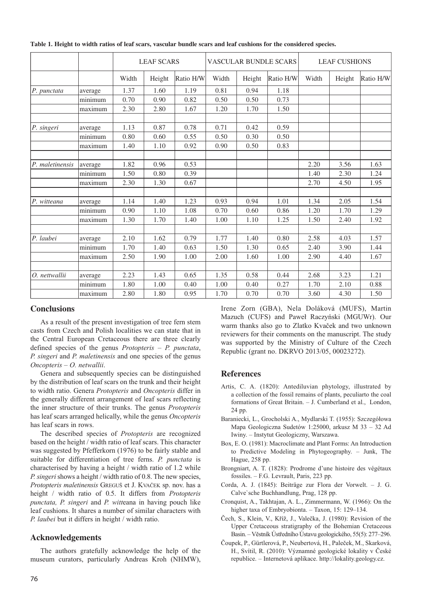|                 |         | <b>LEAF SCARS</b> |        |           | VASCULAR BUNDLE SCARS |        |           | <b>LEAF CUSHIONS</b> |        |           |
|-----------------|---------|-------------------|--------|-----------|-----------------------|--------|-----------|----------------------|--------|-----------|
|                 |         | Width             | Height | Ratio H/W | Width                 | Height | Ratio H/W | Width                | Height | Ratio H/W |
| P. punctata     | average | 1.37              | 1.60   | 1.19      | 0.81                  | 0.94   | 1.18      |                      |        |           |
|                 | minimum | 0.70              | 0.90   | 0.82      | 0.50                  | 0.50   | 0.73      |                      |        |           |
|                 | maximum | 2.30              | 2.80   | 1.67      | 1.20                  | 1.70   | 1.50      |                      |        |           |
| P. singeri      | average | 1.13              | 0.87   | 0.78      | 0.71                  | 0.42   | 0.59      |                      |        |           |
|                 | minimum | 0.80              | 0.60   | 0.55      | 0.50                  | 0.30   | 0.50      |                      |        |           |
|                 | maximum | 1.40              | 1.10   | 0.92      | 0.90                  | 0.50   | 0.83      |                      |        |           |
| P. maletinensis | average | 1.82              | 0.96   | 0.53      |                       |        |           | 2.20                 | 3.56   | 1.63      |
|                 | minimum | 1.50              | 0.80   | 0.39      |                       |        |           | 1.40                 | 2.30   | 1.24      |
|                 | maximum | 2.30              | 1.30   | 0.67      |                       |        |           | 2.70                 | 4.50   | 1.95      |
| P. witteana     | average | 1.14              | 1.40   | 1.23      | 0.93                  | 0.94   | 1.01      | 1.34                 | 2.05   | 1.54      |
|                 | minimum | 0.90              | 1.10   | 1.08      | 0.70                  | 0.60   | 0.86      | 1.20                 | 1.70   | 1.29      |
|                 | maximum | 1.30              | 1.70   | 1.40      | 1.00                  | 1.10   | 1.25      | 1.50                 | 2.40   | 1.92      |
| P. laubei       | average | 2.10              | 1.62   | 0.79      | 1.77                  | 1.40   | 0.80      | 2.58                 | 4.03   | 1.57      |
|                 | minimum | 1.70              | 1.40   | 0.63      | 1.50                  | 1.30   | 0.65      | 2.40                 | 3.90   | 1.44      |
|                 | maximum | 2.50              | 1.90   | 1.00      | 2.00                  | 1.60   | 1.00      | 2.90                 | 4.40   | 1.67      |
| O. nettwallii   | average | 2.23              | 1.43   | 0.65      | 1.35                  | 0.58   | 0.44      | 2.68                 | 3.23   | 1.21      |
|                 | minimum | 1.80              | 1.00   | 0.40      | 1.00                  | 0.40   | 0.27      | 1.70                 | 2.10   | 0.88      |
|                 | maximum | 2.80              | 1.80   | 0.95      | 1.70                  | 0.70   | 0.70      | 3.60                 | 4.30   | 1.50      |

**Table 1. Height to width ratios of leaf scars, vascular bundle scars and leaf cushions for the considered species.** 

## **Conclusions**

As a result of the present investigation of tree fern stem casts from Czech and Polish localities we can state that in the Central European Cretaceous there are three clearly defined species of the genus *Protopteris* – *P. punctata*, *P. singeri* and *P. maletinensis* and one species of the genus *Oncopteris* – *O. netwallii*.

Genera and subsequently species can be distinguished by the distribution of leaf scars on the trunk and their height to width ratio. Genera *Protopteris* and *Oncopteris* differ in the generally different arrangement of leaf scars reflecting the inner structure of their trunks. The genus *Protopteris* has leaf scars arranged helically, while the genus *Oncopteris* has leaf scars in rows.

The described species of *Protopteris* are recognized based on the height / width ratio of leaf scars. This character was suggested by Pfefferkorn (1976) to be fairly stable and suitable for differentiation of tree ferns. *P. punctata* is characterised by having a height / width ratio of 1.2 while *P. singeri* shows a height / width ratio of 0.8. The new species, *Protopteris maletinensis* GREGUŠ et J. KVAČEK sp. nov. has a height / width ratio of 0.5. It differs from *Protopteris punctata, P. singeri* and *P. witt*eana in having pouch like leaf cushions. It shares a number of similar characters with *P. laubei* but it differs in height / width ratio.

## **Acknowledgements**

The authors gratefully acknowledge the help of the museum curators, particularly Andreas Kroh (NHMW),

Irene Zorn (GBA), Nela Doláková (MUFS), Martin Mazuch (CUFS) and Paweł Raczyński (MGUWr). Our warm thanks also go to Zlatko Kvaček and two unknown reviewers for their comments on the manuscript. The study was supported by the Ministry of Culture of the Czech Republic (grant no. DKRVO 2013/05, 00023272).

## **References**

- Artis, C. A. (1820): Antediluvian phytology, illustrated by a collection of the fossil remains of plants, peculiarto the coal formations of Great Britain. – J. Cumberland et al., London, 24 pp.
- Baraniecki, L., Grocholski A., Mydlarski T. (1955): Szczegółowa Mapa Geologiczna Sudetów 1:25000, arkusz M 33 – 32 Ad Iwiny. – Instytut Geologiczny, Warszawa.
- [Box, E. O. \(1981\): Macroclimate and Plant Forms: An Introduction](http://dx.doi.org/10.1007/978-94-009-8680-0) to Predictive Modeling in Phytogeography. – Junk, The Hague, 258 pp.
- Brongniart, A. T. (1828): Prodrome d'une histoire des végétaux fossiles. – F.G. Levrault, Paris, 223 pp.
- Corda, A. J. (1845): Beiträge zur Flora der Vorwelt. J. G. Calve`sche Buchhandlung, Prag, 128 pp.
- [Cronquist, A., Takhtajan, A. L., Zimmermann, W. \(1966\): On the](http://dx.doi.org/10.2307/1217531) higher taxa of Embryobionta. – Taxon, 15: 129–134.
- Čech, S., Klein, V., Kříž, J., Valečka, J. (1980): Revision of the Upper Cretaceous stratigraphy of the Bohemian Cretaceous Basin. – Věstník Ústředního Ústavu geologického, 55(5): 277–296.
- Čoupek, P., Gürtlerová, P., Neubertová, H., Paleček, M., Skarková, H., Svítil, R. (2010): Významné geologické lokality v České republice. – Internetová aplikace. http://lokality.geology.cz.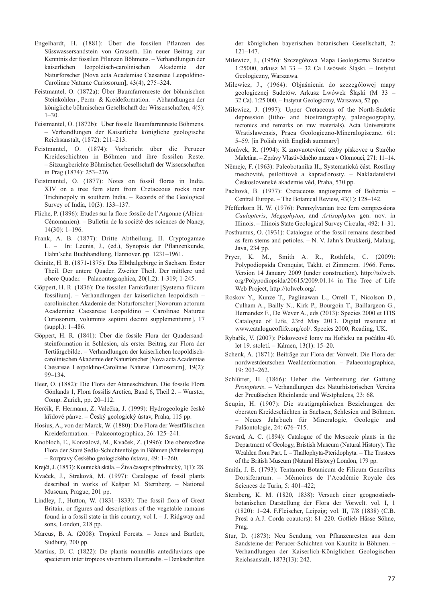- Engelhardt, H. (1881): Über die fossilen Pflanzen des Süsswassersandstein von Grasseth. Ein neuer Beitrag zur Kenntnis der fossilen Pflanzen Böhmens. – Verhandlungen der kaiserlichen leopoldisch-carolinischen Akademie der Naturforscher [Nova acta Academiae Caesareae Leopoldino-Carolinae Naturae Curiosorum], 43(4), 275–324.
- Feistmantel, O. (1872a): Über Baumfarrenreste der böhmischen Steinkohlen-, Perm- & Kreideformation. – Abhandlungen der königliche böhmischen Gesellschaft der Wissenschaften, 4(5):  $1 - 30.$
- Feistmantel, O. (1872b): Über fossile Baumfarrenreste Böhmens. – Verhandlungen der Kaiserliche königliche geologische Reichsanstalt, (1872): 211–213.
- Feistmantel, O. (1874): Vorbericht über die Perucer Kreideschichten in Böhmen und ihre fossilen Reste. – Sitzungberichte Böhmischen Gesellschaft der Wissenschaften in Prag (1874): 253–276
- Feistmantel, O. (1877): Notes on fossil floras in India. XIV on a tree fern stem from Cretaceous rocks near Trichinopoly in southern India. – Records of the Geological Survey of India, 10(3): 133–137.
- Fliche, P. (1896): Etudes sur la flore fossile de l'Argonne (Albien-Cénomanien). – Bulletin de la société des sciences de Nancy, 14(30): 1–196.
- Frank, A. B. (1877): Dritte Abtheilung. II. Cryptogamae L. – In: Leunis, J., (ed.), Synopsis der Pflanzenkunde, Hahn'sche Buchhandlung, Hannover. pp. 1231–1961.
- Geinitz, H. B. (1871-1875): Das Elbthalgebirge in Sachsen. Erster Theil. Der untere Quader. Zweiter Theil. Der mittlere und obere Quader. – Palaeontographica, 20(1,2): 1-319; 1-245.
- Göppert, H. R. (1836): Die fossilen Farnkräuter [Systema filicum fossilium]. – Verhandlungen der kaiserlichen leopoldisch – carolinischen Akademie der Naturforscher [Novorum actorum Academiae Caesareae Leopoldino – Carolinae Naturae Curiosorum, voluminis septimi decimi supplementumn], 17 (suppl.): 1–486.
- Göppert, H. R. (1841): Über die fossile Flora der Quadersandsteinformation in Schlesien, als erster Beitrag zur Flora der Tertiärgebilde. – Verhandlungen der kaiserlichen leopoldischcarolinischen Akademie der Naturforscher [Nova acta Academiae Caesareae Leopoldino-Carolinae Naturae Curiosorum], 19(2): 99–134.
- Heer, O. (1882): Die Flora der Ataneschichten, Die fossile Flora Gönlands 1, Flora fossilis Arctica, Band 6, Theil 2. – Wurster, Comp. Zurich, pp. 20–112.
- Herčík, F. Hermann, Z. Valečka, J. (1999): Hydrogeologie české křídové pánve. – Český geologický ústav, Praha, 115 pp.
- Hosius, A., von der Marck, W. (1880): Die Flora der Westfälischen Kreideformation. – Palaeontographica, 26: 125–241.
- Knobloch, E., Konzalová, M., Kvaček, Z. (1996): Die obereozäne Flora der Staré Sedlo-Schichtenfolge in Böhmen (Mitteleuropa). – Rozpravy Českého geologického ústavu, 49: 1–260.
- Krejčí, J. (1853): Kounická skála. Živa časopis přírodnický, 1(1): 28.
- Kvaček, J., Straková, M. (1997): Catalogue of fossil plants described in works of Kašpar M. Sternberg. – National Museum, Prague, 201 pp.
- Lindley, J., Hutton, W. (1831–1833): The fossil flora of Great Britain, or figures and descriptions of the vegetable ramains found in a fossil state in this country, vol  $I - J$ . Ridgway and sons, London, 218 pp.
- Marcus, B. A. (2008): Tropical Forests*. –* Jones and Bartlett, Sudbury, 200 pp.
- Martius, D. C. (1822): De plantis nonnullis antediluvians ope specierum inter tropicos viventium illustrandis. – Denkschriften

der königlichen bayerischen botanischen Gesellschaft, 2: 121–147.

- Milewicz, J., (1956): Szczegółowa Mapa Geologiczna Sudetów 1:25000, arkusz M 33 – 32 Ca Lwówek Śląski. – Instytut Geologiczny, Warszawa.
- Milewicz, J., (1964): Objaśnienia do szczegółowej mapy geologicznej Sudetów. Arkusz Lwówek Śląski (M 33 – 32 Ca). 1:25 000. – Instytut Geologiczny, Warszawa, 52 pp.
- Milewicz, J. (1997): Upper Cretaceous of the North-Sudetic depression (litho- and biostratigraphy, paleogeography, tectonics and remarks on raw materials). Acta Universitatis Wratislawensis, Praca Geologiczno-Mineralogisczne, 61: 5–59. [in Polish with English summary]
- Morávek, R. (1994): K znovuotevření těžby pískovce u Starého Maletína. – Zprávy Vlastivědného muzea v Olomouci, 271: 11–14.
- Němejc, F. (1963): Paleobotanika II., Systematická část. Rostliny mechovité, psilofitové a kapraďorosty. – Nakladatelství Československé akademie věd, Praha, 530 pp.
- [Pacltová, B. \(1977\): Cretaceous angiosperms of Bohemia –](http://dx.doi.org/10.1007/BF02860851) Central Europe. – The Botanical Review, 43(1): 128–142.
- Pfefferkorn H. W. (1976): Pennsylvanian tree fern compressions *Caulopteris*, *Megaphyton*, and *Artisophyton* gen. nov. in Illinois. – Illinois State Geological Survey Circular, 492: 1–31.
- Posthumus, O. (1931): Catalogue of the fossil remains described as fern stems and petioles. – N. V. Jahn's Drukkerij, Malang, Java, 234 pp.
- Pryer, K. M., Smith A. R., Rothfels, C. (2009): Polypodiopsida Cronquist, Takht. et Zimmerm. 1966. Ferns. Version 14 January 2009 (under construction). http://tolweb. org/Polypodiopsida/20615/2009.01.14 in The Tree of Life Web Project, http://tolweb.org/.
- Roskov Y., Kunze T., Paglinawan L., Orrell T., Nicolson D., Culham A., Bailly N., Kirk P., Bourgoin T., Baillargeon G., Hernandez F., De Wever A., eds (2013): Species 2000 et ITIS Catalogue of Life, 23rd May 2013. Digital resource at www.catalogueoflife.org/col/. Species 2000, Reading, UK.
- Rybařík, V. (2007): Pískovcové lomy na Hořicku na počátku 40. let 19. století. – Kámen, 13(1): 15–20.
- Schenk, A. (1871): Beiträge zur Flora der Vorwelt. Die Flora der nordwestdeutschen Wealdenformation. – Palaeontographica, 19: 203–262.
- Schlütter, H. (1866): Ueber die Verbreitung der Gattung *Protopteris*. – Verhandlungen des Naturhistorischen Vereins der Preußischen Rheinlande und Westphalens*,* 23: 68.
- Scupin, H. (1907): Die stratigraphischen Beziehungen der obersten Kreideschichten in Sachsen, Schlesien und Böhmen. – Neues Jahrbuch für Mineralogie, Geologie und Paläontologie, 24: 676–715.
- Seward, A. C. (1894): Catalogue of the Mesozoic plants in the Department of Geology, Bristish Museum (Natural History). The Wealden flora Part. I. – Thallophyta-Pteridophyta. – The Trustees of the British Museum (Natural History) London, 179 pp.
- Smith, J. E. (1793): Tentamen Botanicum de Filicum Generibus Dorsiferarum. – Mémoires de l'Académie Royale des Sciences de Turin, 5: 401–422;
- Sternberg, K. M. (1820, 1838): Versuch einer geognostischbotanischen Darstellung der Flora der Vorwelt. vol. I, 1 (1820): 1–24. F.Fleischer, Leipzig; vol. II, 7/8 (1838) (C.B. Presl a A.J. Corda coautors): 81–220. Gotlieb Hässe Söhne, Prag.
- Stur, D. (1873): Neu Sendung von Pflanzenresten aus dem Sandsteine der Perucer-Schichten von Kaunitz in Böhmen. – Verhandlungen der Kaiserlich-Königlichen Geologischen Reichsanstalt, 1873(13): 242.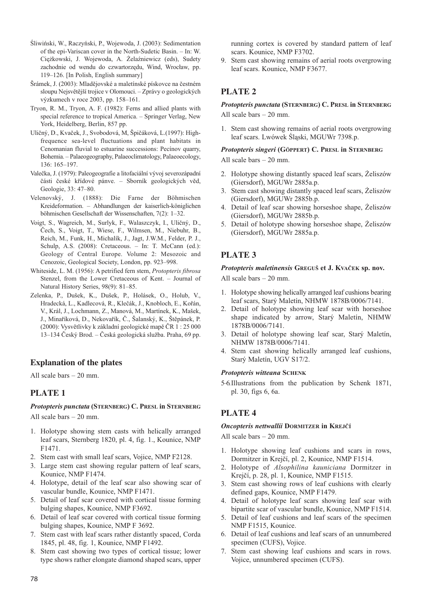- Śliwiński, W., Raczyński, P., Wojewoda, J. (2003): Sedimentation of the epi-Variscan cover in the North-Sudetic Basin. – In: W. Ciężkowski, J. Wojewoda, A. Żelaźniewicz (eds), Sudety zachodnie od wendu do czwartorzędu, Wind, Wrocław, pp. 119–126. [In Polish, English summary]
- Šrámek, J. (2003): Mladějovské a maletínské pískovce na čestném sloupu Nejsvětější trojice v Olomouci. – Zprávy o geologických výzkumech v roce 2003, pp. 158–161.
- [Tryon, R. M., Tryon, A. F. \(1982\): Ferns and allied plants with](http://dx.doi.org/10.1007/978-1-4613-8162-4) special reference to tropical America. – Springer Verlag, New York, Heidelberg, Berlin, 857 pp.
- [Uličný, D., Kvaček, J., Svobodová, M, Špičáková, L.\(1997\): High](http://dx.doi.org/10.1016/S0031-0182(97)00033-3)frequence sea-level fluctuations and plant habitats in Cenomanian fluvial to estuarine successions: Pecínov quarry, Bohemia. – Palaeogeography, Palaeoclimatology, Palaeoecology, 136: 165–197.
- Valečka, J. (1979): Paleogeografie a litofaciální vývoj severozápadní části české křídové pánve. – Sborník geologických věd, Geologie, 33: 47–80.
- Velenovský, J. (1888): Die Farne der Böhmischen Kreideformation. – Abhandlungen der kaiserlich-königlichen böhmischen Gesellschaft der Wissenschaften, 7(2): 1–32.
- Voigt, S., Wagreich, M., Surlyk, F., Walaszczyk, I., Uličný, D., Čech, S., Voigt, T., Wiese, F., Wilmsen, M., Niebuhr, B., Reich, M., Funk, H., Michalík, J., Jagt, J.W.M., Felder, P. J., Schulp, A.S. (2008): Cretaceous. - In: T. McCann (ed.): Geology of Central Europe. Volume 2: Mesozoic and Cenozoic, Geological Society, London, pp. 923–998.
- Whiteside, L. M. (1956): A petrified fern stem, *Protopteris fibrosa* [Stenzel, from the Lower Cretaceous of Kent. – Journal of](http://dx.doi.org/10.1080/00222935608655727) Natural History Series, 98(9): 81–85.
- Zelenka, P., Dušek, K., Dušek, P., Holásek, O., Holub, V., Hradecká, L., Kadlecová, R., Klečák, J., Knobloch, E., Kořán, V., Král, J., Lochmann, Z., Manová, M., Martínek, K., Mašek, J., Minaříková, D., Nekovařík, Č., Šalanský, K., Štěpánek, P. (2000): Vysvětlivky k základní geologické mapě ČR 1 : 25 000 13–134 Český Brod. – Česká geologická služba. Praha, 69 pp.

## **Explanation of the plates**

All scale bars – 20 mm.

## **PLATE 1**

## *Protopteris punctata* **(STERNBERG) C. PRESL in STERNBERG**

All scale bars – 20 mm.

- 1. Holotype showing stem casts with helically arranged leaf scars, Sternberg 1820, pl. 4, fig. 1., Kounice, NMP F1471.
- 2. Stem cast with small leaf scars, Vojice, NMP F2128.
- 3. Large stem cast showing regular pattern of leaf scars, Kounice, NMP F1474.
- 4. Holotype, detail of the leaf scar also showing scar of vascular bundle, Kounice, NMP F1471.
- 5. Detail of leaf scar covered with cortical tissue forming bulging shapes, Kounice, NMP F3692.
- 6. Detail of leaf scar covered with cortical tissue forming bulging shapes, Kounice, NMP F 3692.
- 7. Stem cast with leaf scars rather distantly spaced, Corda 1845, pl. 48, fig. 1, Kounice, NMP F1492.
- 8. Stem cast showing two types of cortical tissue; lower type shows rather elongate diamond shaped scars, upper

running cortex is covered by standard pattern of leaf scars. Kounice, NMP F3702.

9. Stem cast showing remains of aerial roots overgrowing leaf scars. Kounice, NMP F3677.

## **PLATE 2**

### *Protopteris punctata* **(STERNBERG) C. PRESL in STERNBERG** All scale bars – 20 mm.

1. Stem cast showing remains of aerial roots overgrowing leaf scars. Lwówek Śląski, MGUWr 7398.p.

## *Protopteris singeri* **(GÖPPERT) C. PRESL in STERNBERG** All scale bars – 20 mm.

- 2. Holotype showing distantly spaced leaf scars, Żeliszów (Giersdorf), MGUWr 2885a.p.
- 3. Stem cast showing distantly spaced leaf scars, Żeliszów (Giersdorf), MGUWr 2885b.p.
- 4. Detail of leaf scar showing horseshoe shape, Żeliszów (Giersdorf), MGUWr 2885b.p.
- 5. Detail of holotype showing horseshoe shape, Żeliszów (Giersdorf), MGUWr 2885a.p.

# **PLATE 3**

## *Protopteris maletinensis* **GREGUŠ et J. KVAČEK sp. nov.**

All scale bars – 20 mm.

- 1. Holotype showing helically arranged leaf cushions bearing leaf scars, Starý Maletín, NHMW 1878B/0006/7141.
- 2. Detail of holotype showing leaf scar with horseshoe shape indicated by arrow, Starý Maletín, NHMW 1878B/0006/7141.
- 3. Detail of holotype showing leaf scar, Starý Maletín, NHMW 1878B/0006/7141.
- 4. Stem cast showing helically arranged leaf cushions, Starý Maletín, UGV S17/2.

## *Protopteris witteana* **SCHENK**

5–6.Illustrations from the publication by Schenk 1871, pl. 30, figs 6, 6a.

## **PLATE 4**

## *Oncopteris nettwallii* **DORMITZER in KREJČÍ**

All scale bars – 20 mm.

- 1. Holotype showing leaf cushions and scars in rows, Dormitzer in Krejčí, pl. 2, Kounice, NMP F1514.
- 2. Holotype of *Alsophilina kauniciana* Dormitzer in Krejčí, p. 28, pl. 1, Kounice, NMP F1515.
- 3. Stem cast showing rows of leaf cushions with clearly defined gaps, Kounice, NMP F1479.
- 4. Detail of holotype leaf scars showing leaf scar with bipartite scar of vascular bundle, Kounice, NMP F1514.
- 5. Detail of leaf cushions and leaf scars of the specimen NMP F1515, Kounice.
- 6. Detail of leaf cushions and leaf scars of an unnumbered specimen (CUFS), Vojice.
- 7. Stem cast showing leaf cushions and scars in rows. Vojice, unnumbered specimen (CUFS).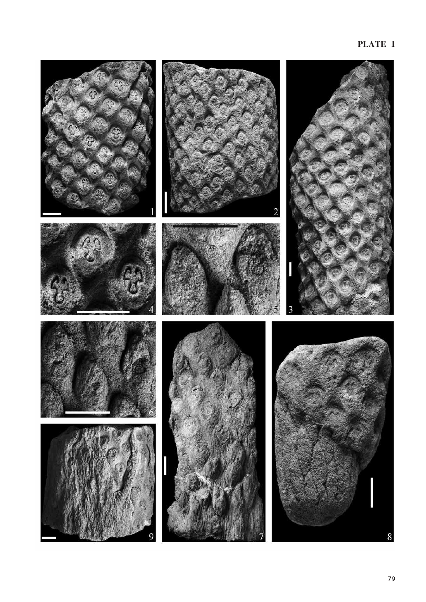# **PLATE 1**

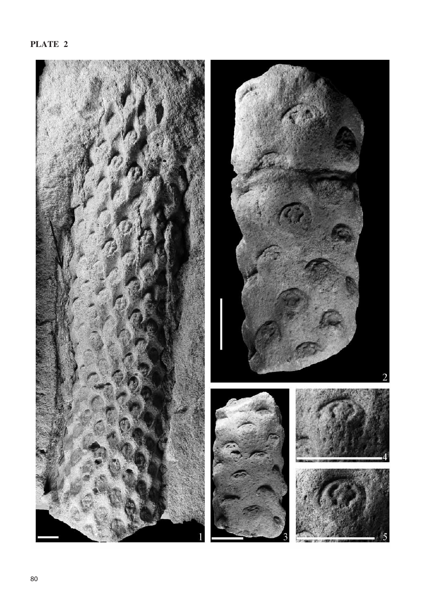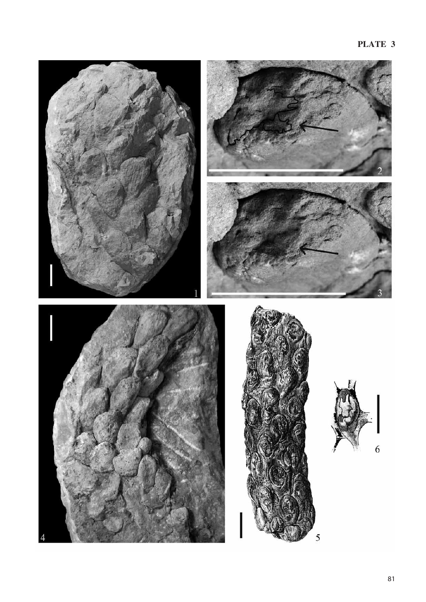## **PLATE 3**